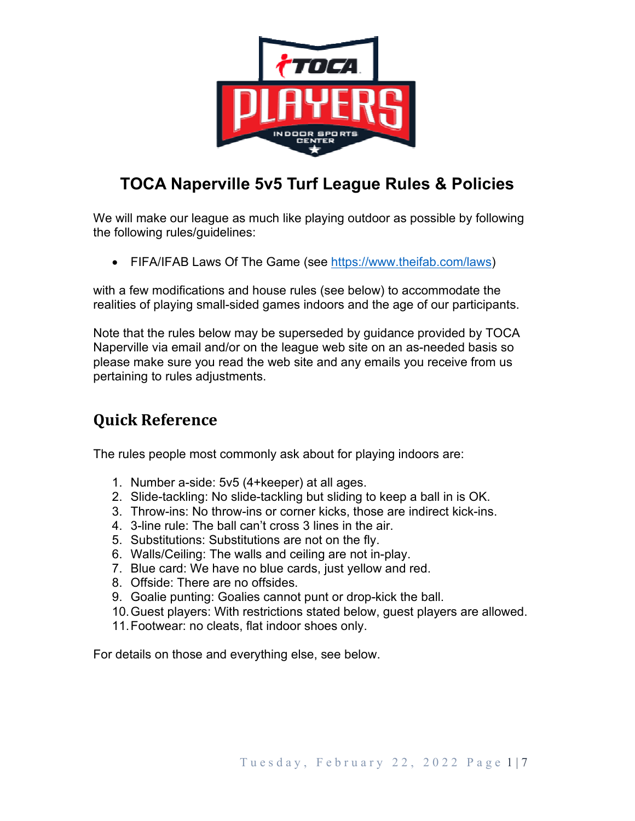

# **TOCA Naperville 5v5 Turf League Rules & Policies**

We will make our league as much like playing outdoor as possible by following the following rules/guidelines:

• FIFA/IFAB Laws Of The Game (see https://www.theifab.com/laws)

with a few modifications and house rules (see below) to accommodate the realities of playing small-sided games indoors and the age of our participants.

Note that the rules below may be superseded by guidance provided by TOCA Naperville via email and/or on the league web site on an as-needed basis so please make sure you read the web site and any emails you receive from us pertaining to rules adjustments.

# **Quick Reference**

The rules people most commonly ask about for playing indoors are:

- 1. Number a-side: 5v5 (4+keeper) at all ages.
- 2. Slide-tackling: No slide-tackling but sliding to keep a ball in is OK.
- 3. Throw-ins: No throw-ins or corner kicks, those are indirect kick-ins.
- 4. 3-line rule: The ball can't cross 3 lines in the air.
- 5. Substitutions: Substitutions are not on the fly.
- 6. Walls/Ceiling: The walls and ceiling are not in-play.
- 7. Blue card: We have no blue cards, just yellow and red.
- 8. Offside: There are no offsides.
- 9. Goalie punting: Goalies cannot punt or drop-kick the ball.
- 10. Guest players: With restrictions stated below, guest players are allowed.
- 11. Footwear: no cleats, flat indoor shoes only.

For details on those and everything else, see below.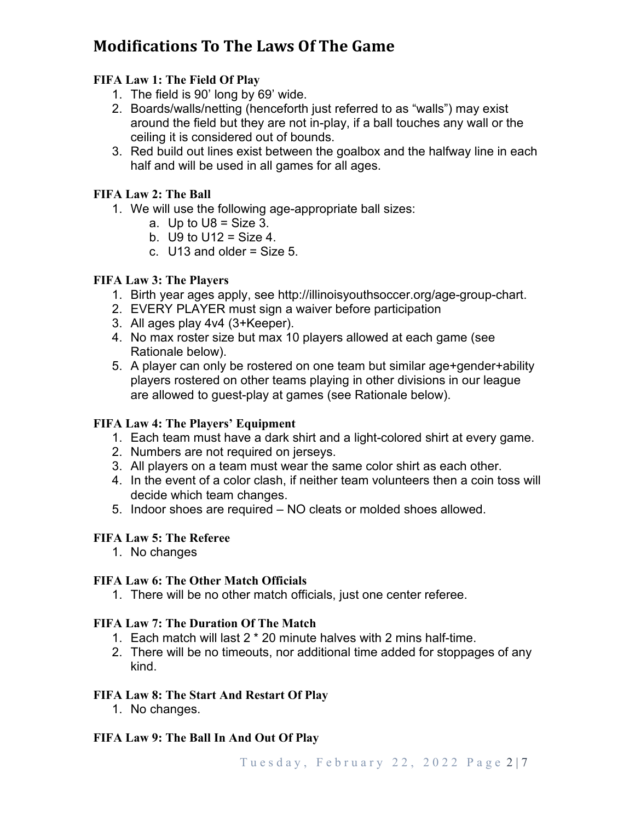# **Modifications To The Laws Of The Game**

## **FIFA Law 1: The Field Of Play**

- 1. The field is 90' long by 69' wide.
- 2. Boards/walls/netting (henceforth just referred to as "walls") may exist around the field but they are not in-play, if a ball touches any wall or the ceiling it is considered out of bounds.
- 3. Red build out lines exist between the goalbox and the halfway line in each half and will be used in all games for all ages.

## **FIFA Law 2: The Ball**

- 1. We will use the following age-appropriate ball sizes:
	- a. Up to  $U8 = Size~3$ .
	- b.  $U9$  to  $U12 = Size 4$ .
	- c.  $U13$  and older = Size 5.

### **FIFA Law 3: The Players**

- 1. Birth year ages apply, see http://illinoisyouthsoccer.org/age-group-chart.
- 2. EVERY PLAYER must sign a waiver before participation
- 3. All ages play 4v4 (3+Keeper).
- 4. No max roster size but max 10 players allowed at each game (see Rationale below).
- 5. A player can only be rostered on one team but similar age+gender+ability players rostered on other teams playing in other divisions in our league are allowed to guest-play at games (see Rationale below).

## **FIFA Law 4: The Players' Equipment**

- 1. Each team must have a dark shirt and a light-colored shirt at every game.
- 2. Numbers are not required on jerseys.
- 3. All players on a team must wear the same color shirt as each other.
- 4. In the event of a color clash, if neither team volunteers then a coin toss will decide which team changes.
- 5. Indoor shoes are required NO cleats or molded shoes allowed.

### **FIFA Law 5: The Referee**

1. No changes

### **FIFA Law 6: The Other Match Officials**

1. There will be no other match officials, just one center referee.

### **FIFA Law 7: The Duration Of The Match**

- 1. Each match will last 2 \* 20 minute halves with 2 mins half-time.
- 2. There will be no timeouts, nor additional time added for stoppages of any kind.

### **FIFA Law 8: The Start And Restart Of Play**

1. No changes.

## **FIFA Law 9: The Ball In And Out Of Play**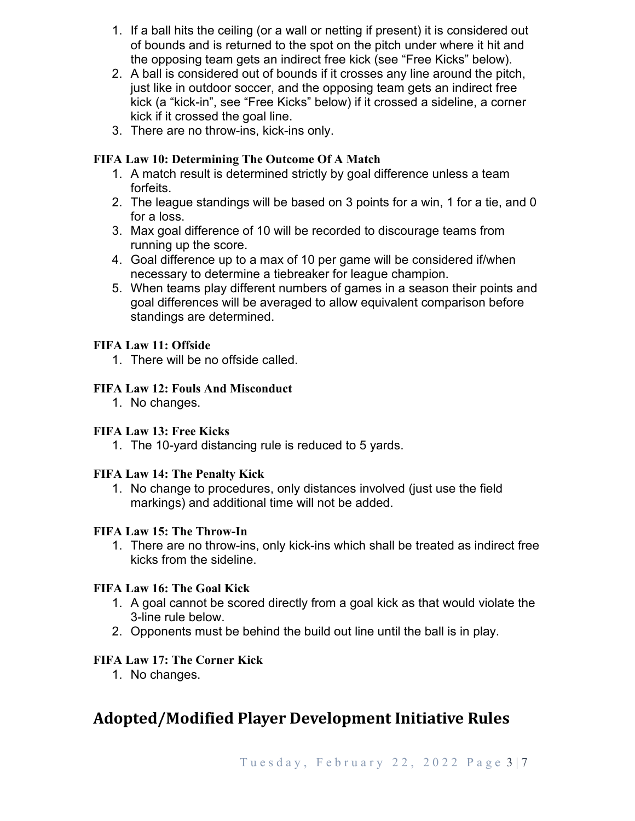- 1. If a ball hits the ceiling (or a wall or netting if present) it is considered out of bounds and is returned to the spot on the pitch under where it hit and the opposing team gets an indirect free kick (see "Free Kicks" below).
- 2. A ball is considered out of bounds if it crosses any line around the pitch, just like in outdoor soccer, and the opposing team gets an indirect free kick (a "kick-in", see "Free Kicks" below) if it crossed a sideline, a corner kick if it crossed the goal line.
- 3. There are no throw-ins, kick-ins only.

## **FIFA Law 10: Determining The Outcome Of A Match**

- 1. A match result is determined strictly by goal difference unless a team forfeits.
- 2. The league standings will be based on 3 points for a win, 1 for a tie, and 0 for a loss.
- 3. Max goal difference of 10 will be recorded to discourage teams from running up the score.
- 4. Goal difference up to a max of 10 per game will be considered if/when necessary to determine a tiebreaker for league champion.
- 5. When teams play different numbers of games in a season their points and goal differences will be averaged to allow equivalent comparison before standings are determined.

## **FIFA Law 11: Offside**

1. There will be no offside called.

## **FIFA Law 12: Fouls And Misconduct**

1. No changes.

### **FIFA Law 13: Free Kicks**

1. The 10-yard distancing rule is reduced to 5 yards.

### **FIFA Law 14: The Penalty Kick**

1. No change to procedures, only distances involved (just use the field markings) and additional time will not be added.

### **FIFA Law 15: The Throw-In**

1. There are no throw-ins, only kick-ins which shall be treated as indirect free kicks from the sideline.

### **FIFA Law 16: The Goal Kick**

- 1. A goal cannot be scored directly from a goal kick as that would violate the 3-line rule below.
- 2. Opponents must be behind the build out line until the ball is in play.

### **FIFA Law 17: The Corner Kick**

1. No changes.

## **Adopted/Modified Player Development Initiative Rules**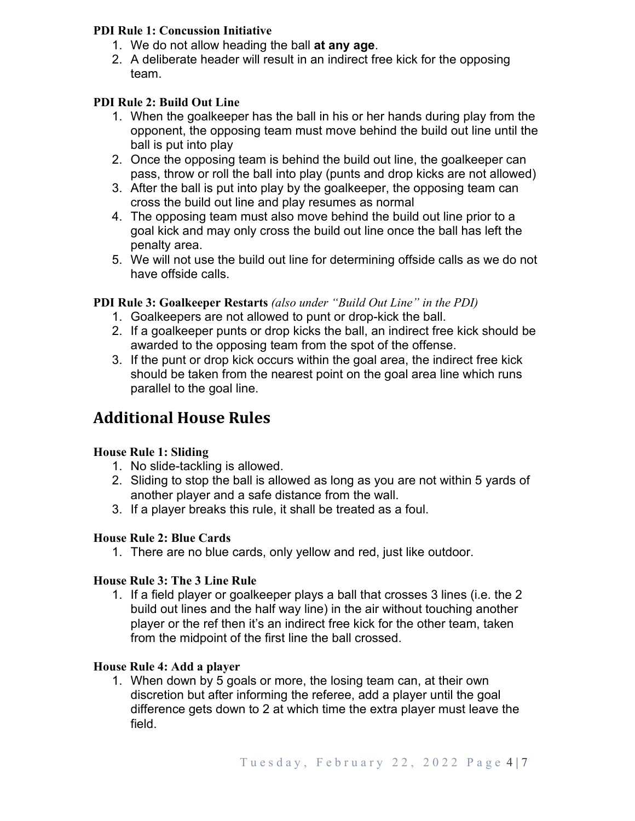### **PDI Rule 1: Concussion Initiative**

- 1. We do not allow heading the ball **at any age**.
- 2. A deliberate header will result in an indirect free kick for the opposing team.

## **PDI Rule 2: Build Out Line**

- 1. When the goalkeeper has the ball in his or her hands during play from the opponent, the opposing team must move behind the build out line until the ball is put into play
- 2. Once the opposing team is behind the build out line, the goalkeeper can pass, throw or roll the ball into play (punts and drop kicks are not allowed)
- 3. After the ball is put into play by the goalkeeper, the opposing team can cross the build out line and play resumes as normal
- 4. The opposing team must also move behind the build out line prior to a goal kick and may only cross the build out line once the ball has left the penalty area.
- 5. We will not use the build out line for determining offside calls as we do not have offside calls.

## **PDI Rule 3: Goalkeeper Restarts** *(also under "Build Out Line" in the PDI)*

- 1. Goalkeepers are not allowed to punt or drop-kick the ball.
- 2. If a goalkeeper punts or drop kicks the ball, an indirect free kick should be awarded to the opposing team from the spot of the offense.
- 3. If the punt or drop kick occurs within the goal area, the indirect free kick should be taken from the nearest point on the goal area line which runs parallel to the goal line.

## **Additional House Rules**

## **House Rule 1: Sliding**

- 1. No slide-tackling is allowed.
- 2. Sliding to stop the ball is allowed as long as you are not within 5 yards of another player and a safe distance from the wall.
- 3. If a player breaks this rule, it shall be treated as a foul.

### **House Rule 2: Blue Cards**

1. There are no blue cards, only yellow and red, just like outdoor.

### **House Rule 3: The 3 Line Rule**

1. If a field player or goalkeeper plays a ball that crosses 3 lines (i.e. the 2 build out lines and the half way line) in the air without touching another player or the ref then it's an indirect free kick for the other team, taken from the midpoint of the first line the ball crossed.

### **House Rule 4: Add a player**

1. When down by 5 goals or more, the losing team can, at their own discretion but after informing the referee, add a player until the goal difference gets down to 2 at which time the extra player must leave the field.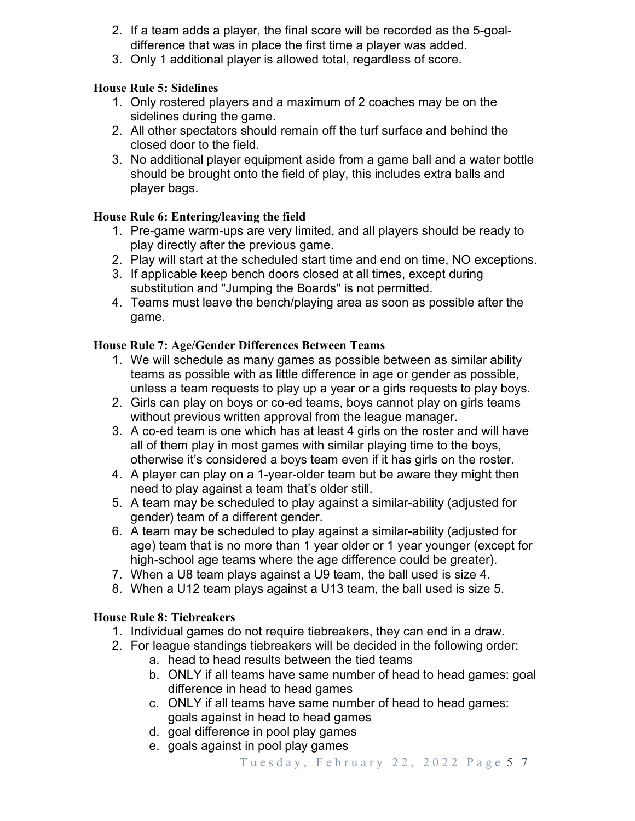- 2. If a team adds a player, the final score will be recorded as the 5-goaldifference that was in place the first time a player was added.
- 3. Only 1 additional player is allowed total, regardless of score.

### **House Rule 5: Sidelines**

- 1. Only rostered players and a maximum of 2 coaches may be on the sidelines during the game.
- 2. All other spectators should remain off the turf surface and behind the closed door to the field.
- 3. No additional player equipment aside from a game ball and a water bottle should be brought onto the field of play, this includes extra balls and player bags.

## **House Rule 6: Entering/leaving the field**

- 1. Pre-game warm-ups are very limited, and all players should be ready to play directly after the previous game.
- 2. Play will start at the scheduled start time and end on time, NO exceptions.
- 3. If applicable keep bench doors closed at all times, except during substitution and "Jumping the Boards" is not permitted.
- 4. Teams must leave the bench/playing area as soon as possible after the game.

## **House Rule 7: Age/Gender Differences Between Teams**

- 1. We will schedule as many games as possible between as similar ability teams as possible with as little difference in age or gender as possible, unless a team requests to play up a year or a girls requests to play boys.
- 2. Girls can play on boys or co-ed teams, boys cannot play on girls teams without previous written approval from the league manager.
- 3. A co-ed team is one which has at least 4 girls on the roster and will have all of them play in most games with similar playing time to the boys, otherwise it's considered a boys team even if it has girls on the roster.
- 4. A player can play on a 1-year-older team but be aware they might then need to play against a team that's older still.
- 5. A team may be scheduled to play against a similar-ability (adjusted for gender) team of a different gender.
- 6. A team may be scheduled to play against a similar-ability (adjusted for age) team that is no more than 1 year older or 1 year younger (except for high-school age teams where the age difference could be greater).
- 7. When a U8 team plays against a U9 team, the ball used is size 4.
- 8. When a U12 team plays against a U13 team, the ball used is size 5.

## **House Rule 8: Tiebreakers**

- 1. Individual games do not require tiebreakers, they can end in a draw.
- 2. For league standings tiebreakers will be decided in the following order:
	- a. head to head results between the tied teams
	- b. ONLY if all teams have same number of head to head games: goal difference in head to head games
	- c. ONLY if all teams have same number of head to head games: goals against in head to head games
	- d. goal difference in pool play games
	- e. goals against in pool play games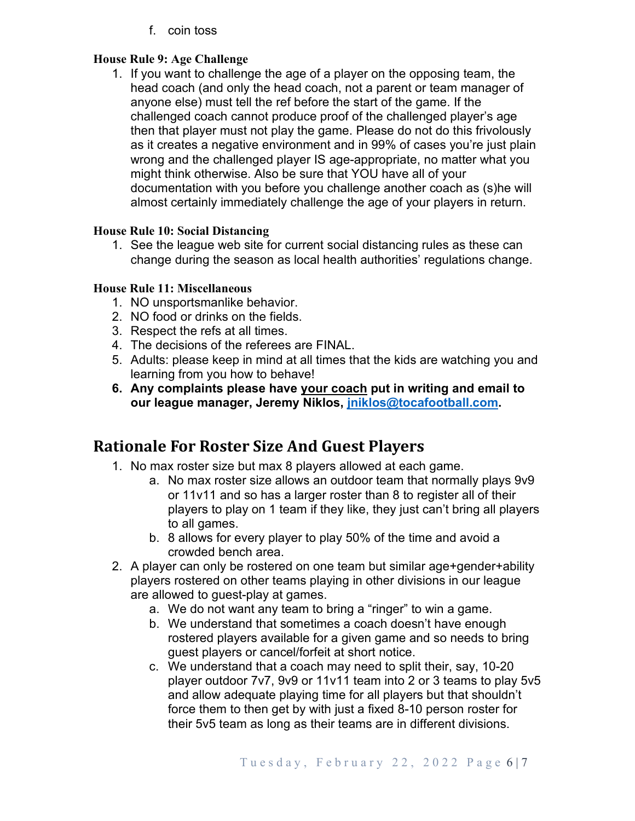f. coin toss

## **House Rule 9: Age Challenge**

1. If you want to challenge the age of a player on the opposing team, the head coach (and only the head coach, not a parent or team manager of anyone else) must tell the ref before the start of the game. If the challenged coach cannot produce proof of the challenged player's age then that player must not play the game. Please do not do this frivolously as it creates a negative environment and in 99% of cases you're just plain wrong and the challenged player IS age-appropriate, no matter what you might think otherwise. Also be sure that YOU have all of your documentation with you before you challenge another coach as (s)he will almost certainly immediately challenge the age of your players in return.

#### **House Rule 10: Social Distancing**

1. See the league web site for current social distancing rules as these can change during the season as local health authorities' regulations change.

#### **House Rule 11: Miscellaneous**

- 1. NO unsportsmanlike behavior.
- 2. NO food or drinks on the fields.
- 3. Respect the refs at all times.
- 4. The decisions of the referees are FINAL.
- 5. Adults: please keep in mind at all times that the kids are watching you and learning from you how to behave!
- **6. Any complaints please have your coach put in writing and email to our league manager, Jeremy Niklos, jniklos@tocafootball.com.**

## **Rationale For Roster Size And Guest Players**

- 1. No max roster size but max 8 players allowed at each game.
	- a. No max roster size allows an outdoor team that normally plays 9v9 or 11v11 and so has a larger roster than 8 to register all of their players to play on 1 team if they like, they just can't bring all players to all games.
	- b. 8 allows for every player to play 50% of the time and avoid a crowded bench area.
- 2. A player can only be rostered on one team but similar age+gender+ability players rostered on other teams playing in other divisions in our league are allowed to guest-play at games.
	- a. We do not want any team to bring a "ringer" to win a game.
	- b. We understand that sometimes a coach doesn't have enough rostered players available for a given game and so needs to bring guest players or cancel/forfeit at short notice.
	- c. We understand that a coach may need to split their, say, 10-20 player outdoor 7v7, 9v9 or 11v11 team into 2 or 3 teams to play 5v5 and allow adequate playing time for all players but that shouldn't force them to then get by with just a fixed 8-10 person roster for their 5v5 team as long as their teams are in different divisions.